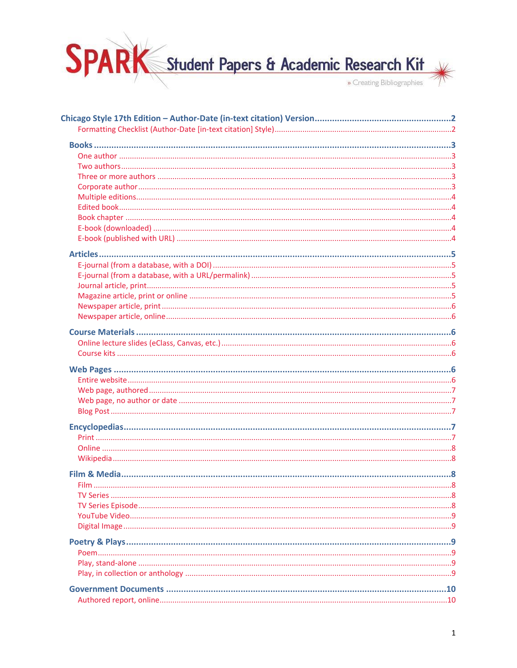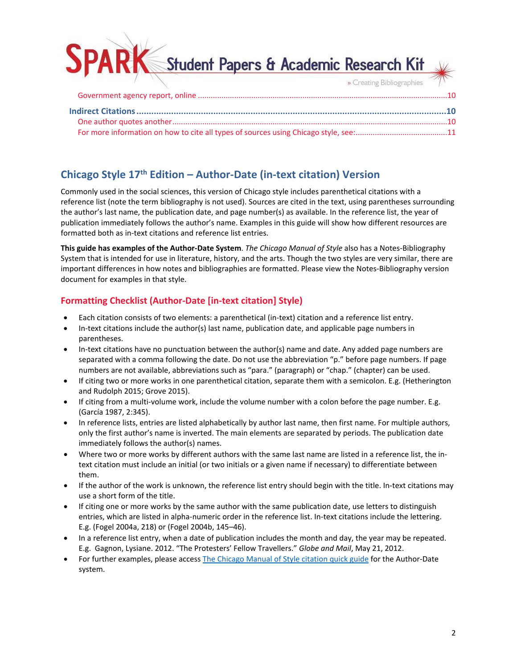Student Papers & Academic Research Kit » Creating Bibliographies

# <span id="page-1-0"></span>**Chicago Style 17th Edition – Author-Date (in-text citation) Version**

Commonly used in the social sciences, this version of Chicago style includes parenthetical citations with a reference list (note the term bibliography is not used). Sources are cited in the text, using parentheses surrounding the author's last name, the publication date, and page number(s) as available. In the reference list, the year of publication immediately follows the author's name. Examples in this guide will show how different resources are formatted both as in-text citations and reference list entries.

**This guide has examples of the Author-Date System**. *The Chicago Manual of Style* also has a Notes-Bibliography System that is intended for use in literature, history, and the arts. Though the two styles are very similar, there are important differences in how notes and bibliographies are formatted. Please view the Notes-Bibliography version document for examples in that style.

# <span id="page-1-1"></span>**Formatting Checklist (Author-Date [in-text citation] Style)**

- Each citation consists of two elements: a parenthetical (in-text) citation and a reference list entry.
- In-text citations include the author(s) last name, publication date, and applicable page numbers in parentheses.
- In-text citations have no punctuation between the author(s) name and date. Any added page numbers are separated with a comma following the date. Do not use the abbreviation "p." before page numbers. If page numbers are not available, abbreviations such as "para." (paragraph) or "chap." (chapter) can be used.
- If citing two or more works in one parenthetical citation, separate them with a semicolon. E.g. (Hetherington and Rudolph 2015; Grove 2015).
- If citing from a multi-volume work, include the volume number with a colon before the page number. E.g. (García 1987, 2:345).
- In reference lists, entries are listed alphabetically by author last name, then first name. For multiple authors, only the first author's name is inverted. The main elements are separated by periods. The publication date immediately follows the author(s) names.
- Where two or more works by different authors with the same last name are listed in a reference list, the intext citation must include an initial (or two initials or a given name if necessary) to differentiate between them.
- If the author of the work is unknown, the reference list entry should begin with the title. In-text citations may use a short form of the title.
- If citing one or more works by the same author with the same publication date, use letters to distinguish entries, which are listed in alpha-numeric order in the reference list. In-text citations include the lettering. E.g. (Fogel 2004a, 218) or (Fogel 2004b, 145–46).
- In a reference list entry, when a date of publication includes the month and day, the year may be repeated. E.g. Gagnon, Lysiane. 2012. "The Protesters' Fellow Travellers." *Globe and Mail*, May 21, 2012.
- For further examples, please access [The Chicago Manual of Style citation quick guide](https://www.chicagomanualofstyle.org/tools_citationguide.html) for the Author-Date system.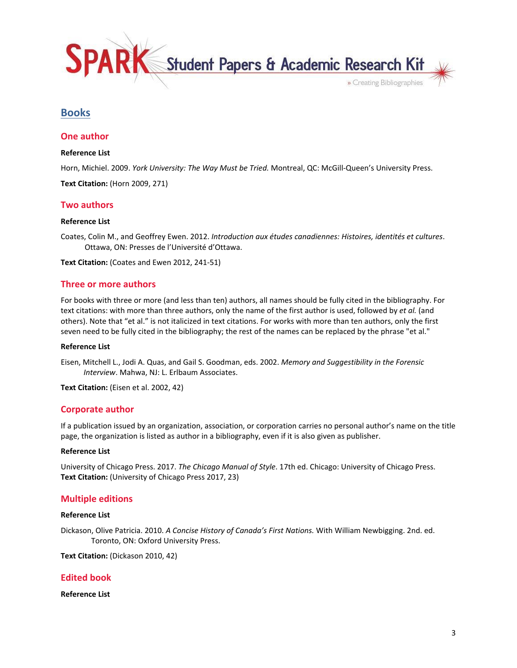Student Papers & Academic Research Kit

» Creating Bibliographies

# <span id="page-2-0"></span>**Books**

# <span id="page-2-1"></span>**One author**

### **Reference List**

Horn, Michiel. 2009. *York University: The Way Must be Tried.* Montreal, QC: McGill-Queen's University Press.

**Text Citation:** (Horn 2009, 271)

# <span id="page-2-2"></span>**Two authors**

#### **Reference List**

Coates, Colin M., and Geoffrey Ewen. 2012. *Introduction aux études canadiennes: Histoires, identités et cultures*. Ottawa, ON: Presses de l'Université d'Ottawa.

**Text Citation:** (Coates and Ewen 2012, 241-51)

### <span id="page-2-3"></span>**Three or more authors**

For books with three or more (and less than ten) authors, all names should be fully cited in the bibliography. For text citations: with more than three authors, only the name of the first author is used, followed by *et al.* (and others). Note that "et al." is not italicized in text citations. For works with more than ten authors, only the first seven need to be fully cited in the bibliography; the rest of the names can be replaced by the phrase "et al."

#### **Reference List**

Eisen, Mitchell L., Jodi A. Quas, and Gail S. Goodman, eds. 2002. *Memory and Suggestibility in the Forensic Interview*. Mahwa, NJ: L. Erlbaum Associates.

**Text Citation:** (Eisen et al. 2002, 42)

# <span id="page-2-4"></span>**Corporate author**

If a publication issued by an organization, association, or corporation carries no personal author's name on the title page, the organization is listed as author in a bibliography, even if it is also given as publisher.

#### **Reference List**

University of Chicago Press. 2017. *The Chicago Manual of Style*. 17th ed. Chicago: University of Chicago Press. **Text Citation:** (University of Chicago Press 2017, 23)

# <span id="page-2-5"></span>**Multiple editions**

### **Reference List**

Dickason, Olive Patricia. 2010. *A Concise History of Canada's First Nations.* With William Newbigging. 2nd. ed. Toronto, ON: Oxford University Press.

**Text Citation:** (Dickason 2010, 42)

# <span id="page-2-6"></span>**Edited book**

**Reference List**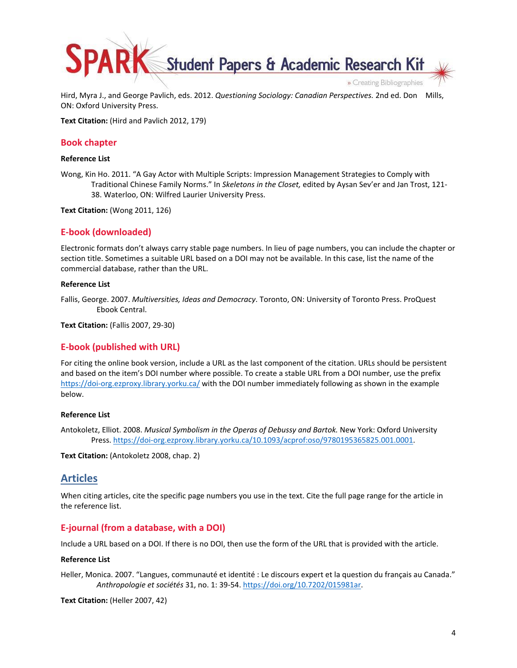Student Papers & Academic Research Kit » Creating Bibliographies

Hird, Myra J., and George Pavlich, eds. 2012. *Questioning Sociology: Canadian Perspectives.* 2nd ed. Don Mills, ON: Oxford University Press.

**Text Citation:** (Hird and Pavlich 2012, 179)

# <span id="page-3-0"></span>**Book chapter**

### **Reference List**

Wong, Kin Ho. 2011. "A Gay Actor with Multiple Scripts: Impression Management Strategies to Comply with Traditional Chinese Family Norms." In *Skeletons in the Closet,* edited by Aysan Sev'er and Jan Trost, 121- 38. Waterloo, ON: Wilfred Laurier University Press.

**Text Citation:** (Wong 2011, 126)

# <span id="page-3-1"></span>**E-book (downloaded)**

Electronic formats don't always carry stable page numbers. In lieu of page numbers, you can include the chapter or section title. Sometimes a suitable URL based on a DOI may not be available. In this case, list the name of the commercial database, rather than the URL.

### **Reference List**

Fallis, George. 2007. *Multiversities, Ideas and Democracy*. Toronto, ON: University of Toronto Press. ProQuest Ebook Central.

**Text Citation:** (Fallis 2007, 29-30)

# <span id="page-3-2"></span>**E-book (published with URL)**

For citing the online book version, include a URL as the last component of the citation. URLs should be persistent and based on the item's DOI number where possible. To create a stable URL from a DOI number, use the prefix <https://doi-org.ezproxy.library.yorku.ca/>with the DOI number immediately following as shown in the example below.

### **Reference List**

Antokoletz, Elliot. 2008. *Musical Symbolism in the Operas of Debussy and Bartok.* New York: Oxford University Press.<https://doi-org.ezproxy.library.yorku.ca/10.1093/acprof:oso/9780195365825.001.0001>.

**Text Citation:** (Antokoletz 2008, chap. 2)

# <span id="page-3-3"></span>**Articles**

When citing articles, cite the specific page numbers you use in the text. Cite the full page range for the article in the reference list.

# <span id="page-3-4"></span>**E-journal (from a database, with a DOI)**

Include a URL based on a DOI. If there is no DOI, then use the form of the URL that is provided with the article.

### **Reference List**

Heller, Monica. 2007. "Langues, communauté et identité : Le discours expert et la question du français au Canada." *Anthropologie et sociétés* 31, no. 1: 39-54. [https://doi.org/10.7202/015981ar.](https://doi.org/10.7202/015981ar)

**Text Citation:** (Heller 2007, 42)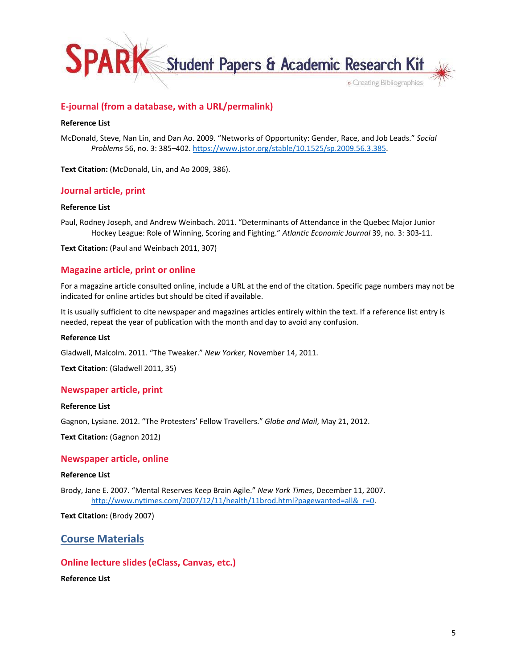

# <span id="page-4-0"></span>**E-journal (from a database, with a URL/permalink)**

### **Reference List**

McDonald, Steve, Nan Lin, and Dan Ao. 2009. "Networks of Opportunity: Gender, Race, and Job Leads." *Social Problems* 56, no. 3: 385–402.<https://www.jstor.org/stable/10.1525/sp.2009.56.3.385>.

**Text Citation:** (McDonald, Lin, and Ao 2009, 386).

# <span id="page-4-1"></span>**Journal article, print**

### **Reference List**

Paul, Rodney Joseph, and Andrew Weinbach. 2011. "Determinants of Attendance in the Quebec Major Junior Hockey League: Role of Winning, Scoring and Fighting." *Atlantic Economic Journal* 39, no. 3: 303-11.

**Text Citation:** (Paul and Weinbach 2011, 307)

# <span id="page-4-2"></span>**Magazine article, print or online**

For a magazine article consulted online, include a URL at the end of the citation. Specific page numbers may not be indicated for online articles but should be cited if available.

It is usually sufficient to cite newspaper and magazines articles entirely within the text. If a reference list entry is needed, repeat the year of publication with the month and day to avoid any confusion.

#### **Reference List**

Gladwell, Malcolm. 2011. "The Tweaker." *New Yorker,* November 14, 2011.

**Text Citation**: (Gladwell 2011, 35)

### <span id="page-4-3"></span>**Newspaper article, print**

### **Reference List**

Gagnon, Lysiane. 2012. "The Protesters' Fellow Travellers." *Globe and Mail*, May 21, 2012.

**Text Citation:** (Gagnon 2012)

### <span id="page-4-4"></span>**Newspaper article, online**

#### **Reference List**

Brody, Jane E. 2007. "Mental Reserves Keep Brain Agile." *New York Times*, December 11, 2007. [http://www.nytimes.com/2007/12/11/health/11brod.html?pagewanted=all&\\_r=0](http://www.nytimes.com/2007/12/11/health/11brod.html?pagewanted=all&_r=0).

**Text Citation:** (Brody 2007)

# <span id="page-4-5"></span>**Course Materials**

# <span id="page-4-6"></span>**Online lecture slides (eClass, Canvas, etc.)**

**Reference List**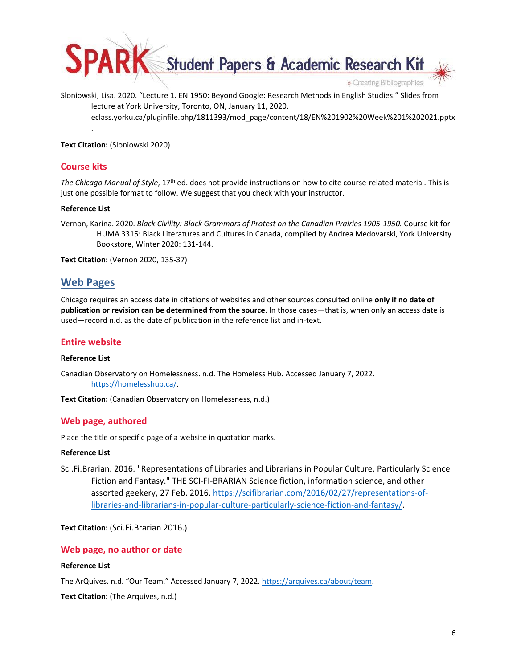

Sloniowski, Lisa. 2020. "Lecture 1. EN 1950: Beyond Google: Research Methods in English Studies." Slides from lecture at York University, Toronto, ON, January 11, 2020. eclass.yorku.ca/pluginfile.php/1811393/mod\_page/content/18/EN%201902%20Week%201%202021.pptx

**Text Citation:** (Sloniowski 2020)

# <span id="page-5-0"></span>**Course kits**

.

*The Chicago Manual of Style*, 17th ed. does not provide instructions on how to cite course-related material. This is just one possible format to follow. We suggest that you check with your instructor.

### **Reference List**

Vernon, Karina. 2020. *Black Civility: Black Grammars of Protest on the Canadian Prairies 1905-1950.* Course kit for HUMA 3315: Black Literatures and Cultures in Canada, compiled by Andrea Medovarski, York University Bookstore, Winter 2020: 131-144.

**Text Citation:** (Vernon 2020, 135-37)

# <span id="page-5-1"></span>**Web Pages**

Chicago requires an access date in citations of websites and other sources consulted online **only if no date of publication or revision can be determined from the source**. In those cases—that is, when only an access date is used—record n.d. as the date of publication in the reference list and in-text.

# <span id="page-5-2"></span>**Entire website**

# **Reference List**

Canadian Observatory on Homelessness. n.d. The Homeless Hub. Accessed January 7, 2022. <https://homelesshub.ca/>.

**Text Citation:** (Canadian Observatory on Homelessness, n.d.)

# <span id="page-5-3"></span>**Web page, authored**

Place the title or specific page of a website in quotation marks.

# **Reference List**

Sci.Fi.Brarian. 2016. "Representations of Libraries and Librarians in Popular Culture, Particularly Science Fiction and Fantasy." THE SCI-FI-BRARIAN Science fiction, information science, and other assorted geekery, 27 Feb. 2016. [https://scifibrarian.com/2016/02/27/representations-of](https://scifibrarian.com/2016/02/27/representations-of-libraries-and-librarians-in-popular-culture-particularly-science-fiction-and-fantasy/)[libraries-and-librarians-in-popular-culture-particularly-science-fiction-and-fantasy/.](https://scifibrarian.com/2016/02/27/representations-of-libraries-and-librarians-in-popular-culture-particularly-science-fiction-and-fantasy/)

**Text Citation:** (Sci.Fi.Brarian 2016.)

# <span id="page-5-4"></span>**Web page, no author or date**

# **Reference List**

The ArQuives. n.d. "Our Team." Accessed January 7, 2022. [https://arquives.ca/about/team.](https://arquives.ca/about/team)

**Text Citation:** (The Arquives, n.d.)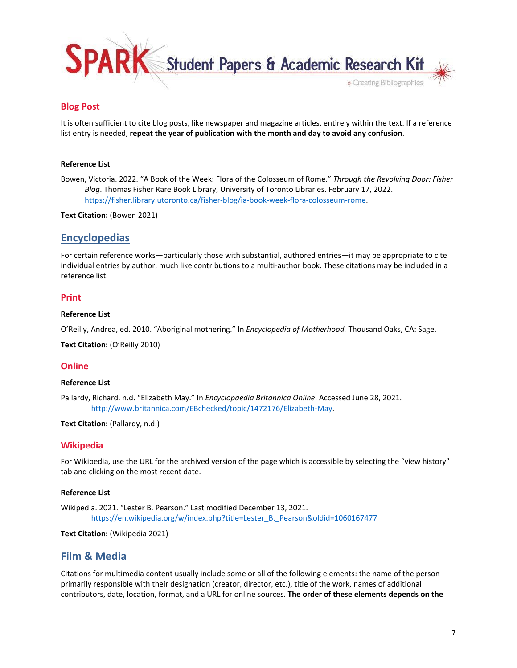

# <span id="page-6-0"></span>**Blog Post**

It is often sufficient to cite blog posts, like newspaper and magazine articles, entirely within the text. If a reference list entry is needed, **repeat the year of publication with the month and day to avoid any confusion**.

### **Reference List**

Bowen, Victoria. 2022. "A Book of the Week: Flora of the Colosseum of Rome." *Through the Revolving Door: Fisher Blog*. Thomas Fisher Rare Book Library, University of Toronto Libraries. February 17, 2022. <https://fisher.library.utoronto.ca/fisher-blog/ia-book-week-flora-colosseum-rome>.

**Text Citation:** (Bowen 2021)

# <span id="page-6-1"></span>**Encyclopedias**

For certain reference works—particularly those with substantial, authored entries—it may be appropriate to cite individual entries by author, much like contributions to a multi-author book. These citations may be included in a reference list.

# <span id="page-6-2"></span>**Print**

### **Reference List**

O'Reilly, Andrea, ed. 2010. "Aboriginal mothering." In *Encyclopedia of Motherhood.* Thousand Oaks, CA: Sage.

**Text Citation:** (O'Reilly 2010)

# <span id="page-6-3"></span>**Online**

### **Reference List**

Pallardy, Richard. n.d. "Elizabeth May." In *Encyclopaedia Britannica Online*. Accessed June 28, 2021. [http://www.britannica.com/EBchecked/topic/1472176/Elizabeth-May.](http://www.britannica.com/EBchecked/topic/1472176/Elizabeth-May)

**Text Citation:** (Pallardy, n.d.)

# <span id="page-6-4"></span>**Wikipedia**

For Wikipedia, use the URL for the archived version of the page which is accessible by selecting the "view history" tab and clicking on the most recent date.

### **Reference List**

Wikipedia. 2021. "Lester B. Pearson." Last modified December 13, 2021. [https://en.wikipedia.org/w/index.php?title=Lester\\_B.\\_Pearson&oldid=1060167477](https://en.wikipedia.org/w/index.php?title=Lester_B._Pearson&oldid=1060167477)

### **Text Citation:** (Wikipedia 2021)

# <span id="page-6-5"></span>**Film & Media**

Citations for multimedia content usually include some or all of the following elements: the name of the person primarily responsible with their designation (creator, director, etc.), title of the work, names of additional contributors, date, location, format, and a URL for online sources. **The order of these elements depends on the**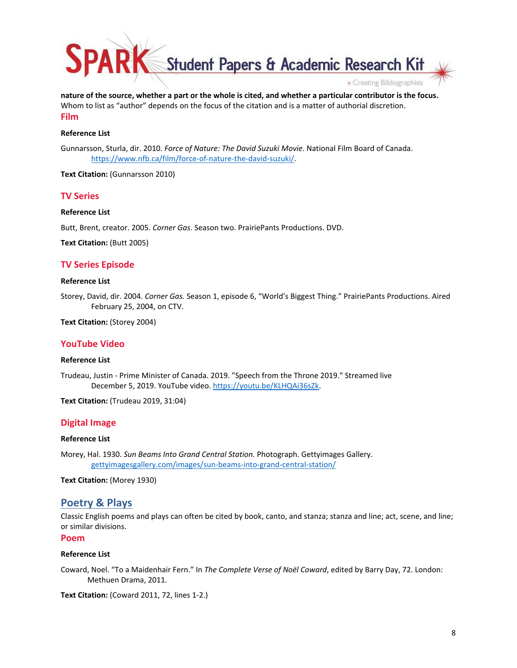Student Papers & Academic Research Kit » Creating Bibliographies

**nature of the source, whether a part or the whole is cited, and whether a particular contributor is the focus.**  Whom to list as "author" depends on the focus of the citation and is a matter of authorial discretion. **Film** 

### <span id="page-7-0"></span>**Reference List**

Gunnarsson, Sturla, dir. 2010. *Force of Nature: The David Suzuki Movie*. National Film Board of Canada. <https://www.nfb.ca/film/force-of-nature-the-david-suzuki/>.

**Text Citation:** (Gunnarsson 2010)

# <span id="page-7-1"></span>**TV Series**

### **Reference List**

Butt, Brent, creator. 2005. *Corner Gas*. Season two. PrairiePants Productions. DVD.

**Text Citation:** (Butt 2005)

### <span id="page-7-2"></span>**TV Series Episode**

#### **Reference List**

Storey, David, dir. 2004. *Corner Gas.* Season 1, episode 6, "World's Biggest Thing." PrairiePants Productions. Aired February 25, 2004, on CTV.

**Text Citation:** (Storey 2004)

# <span id="page-7-3"></span>**YouTube Video**

#### **Reference List**

Trudeau, Justin - Prime Minister of Canada. 2019. "Speech from the Throne 2019." Streamed live December 5, 2019. YouTube video. [https://youtu.be/KLHQAi36sZk.](https://youtu.be/KLHQAi36sZk)

**Text Citation:** (Trudeau 2019, 31:04)

### <span id="page-7-4"></span>**Digital Image**

### **Reference List**

Morey, Hal. 1930. *Sun Beams Into Grand Central Station.* Photograph. Gettyimages Gallery. [gettyimagesgallery.com/images/sun-beams-into-grand-central-station/](https://gettyimagesgallery.com/images/sun-beams-into-grand-central-station/)

**Text Citation:** (Morey 1930)

# <span id="page-7-5"></span>**Poetry & Plays**

Classic English poems and plays can often be cited by book, canto, and stanza; stanza and line; act, scene, and line; or similar divisions.

<span id="page-7-6"></span>**Poem**

#### **Reference List**

Coward, Noel. "To a Maidenhair Fern." In *The Complete Verse of Noël Coward*, edited by Barry Day, 72. London: Methuen Drama, 2011.

**Text Citation:** (Coward 2011, 72, lines 1-2.)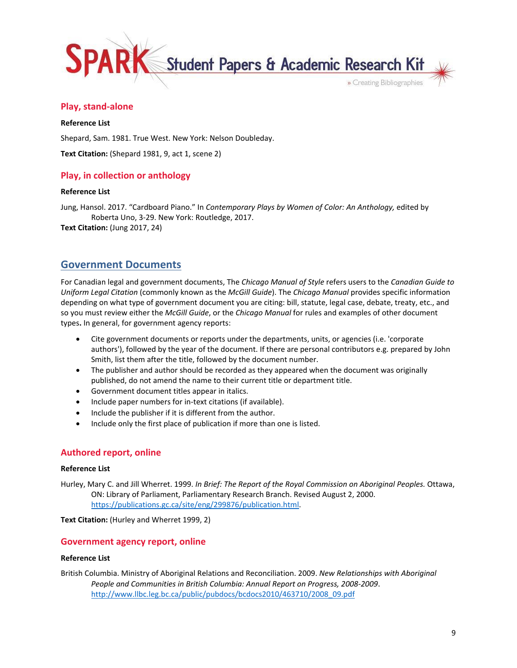

# <span id="page-8-0"></span>**Play, stand-alone**

### **Reference List**

Shepard, Sam. 1981. True West. New York: Nelson Doubleday.

**Text Citation:** (Shepard 1981, 9, act 1, scene 2)

# <span id="page-8-1"></span>**Play, in collection or anthology**

### **Reference List**

Jung, Hansol. 2017. "Cardboard Piano." In *Contemporary Plays by Women of Color: An Anthology,* edited by Roberta Uno, 3-29. New York: Routledge, 2017.

<span id="page-8-2"></span>**Text Citation:** (Jung 2017, 24)

# **Government Documents**

For Canadian legal and government documents, The *Chicago Manual of Style* refers users to the *Canadian Guide to Uniform Legal Citation* (commonly known as the *McGill Guide*). The *Chicago Manual* provides specific information depending on what type of government document you are citing: bill, statute, legal case, debate, treaty, etc., and so you must review either the *McGill Guide*, or the *Chicago Manual* for rules and examples of other document types**.** In general, for government agency reports:

- Cite government documents or reports under the departments, units, or agencies (i.e. 'corporate authors'), followed by the year of the document. If there are personal contributors e.g. prepared by John Smith, list them after the title, followed by the document number.
- The publisher and author should be recorded as they appeared when the document was originally published, do not amend the name to their current title or department title.
- Government document titles appear in italics.
- Include paper numbers for in-text citations (if available).
- Include the publisher if it is different from the author.
- Include only the first place of publication if more than one is listed.

# <span id="page-8-3"></span>**Authored report, online**

### **Reference List**

Hurley, Mary C. and Jill Wherret. 1999. *In Brief: The Report of the Royal Commission on Aboriginal Peoples.* Ottawa, ON: Library of Parliament, Parliamentary Research Branch. Revised August 2, 2000. <https://publications.gc.ca/site/eng/299876/publication.html>.

### **Text Citation:** (Hurley and Wherret 1999, 2)

# <span id="page-8-4"></span>**Government agency report, online**

# **Reference List**

British Columbia. Ministry of Aboriginal Relations and Reconciliation. 2009. *New Relationships with Aboriginal People and Communities in British Columbia: Annual Report on Progress, 2008-2009*. [http://www.llbc.leg.bc.ca/public/pubdocs/bcdocs2010/463710/2008\\_09.pdf](http://www.llbc.leg.bc.ca/public/pubdocs/bcdocs2010/463710/2008_09.pdf)